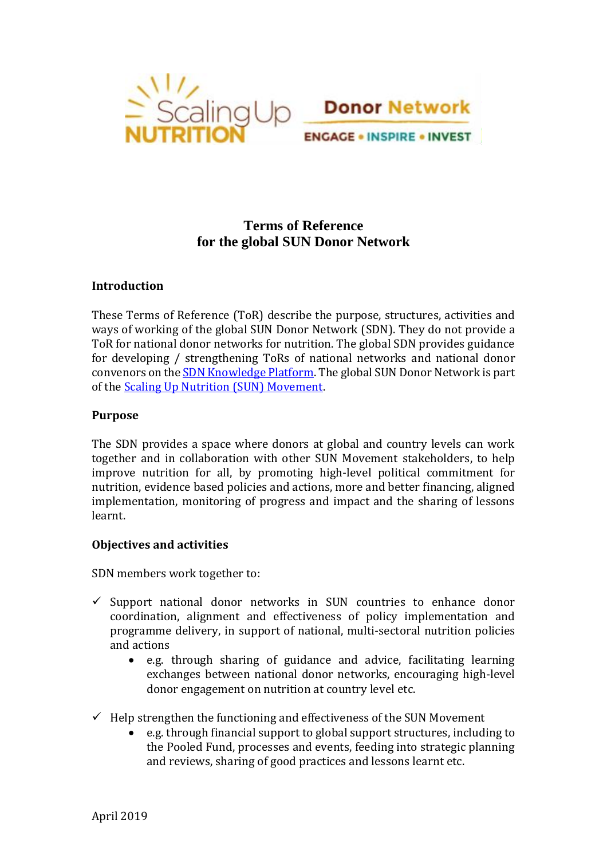



# **Terms of Reference for the global SUN Donor Network**

## **Introduction**

These Terms of Reference (ToR) describe the purpose, structures, activities and ways of working of the global SUN Donor Network (SDN). They do not provide a ToR for national donor networks for nutrition. The global SDN provides guidance for developing / strengthening ToRs of national networks and national donor convenors on th[e SDN Knowledge Platform.](https://sundonors.wixsite.com/website) The global SUN Donor Network is part of the [Scaling Up Nutrition \(SUN\) Movement.](https://scalingupnutrition.org/)

#### **Purpose**

The SDN provides a space where donors at global and country levels can work together and in collaboration with other SUN Movement stakeholders, to help improve nutrition for all, by promoting high-level political commitment for nutrition, evidence based policies and actions, more and better financing, aligned implementation, monitoring of progress and impact and the sharing of lessons learnt.

## **Objectives and activities**

SDN members work together to:

- $\checkmark$  Support national donor networks in SUN countries to enhance donor coordination, alignment and effectiveness of policy implementation and programme delivery, in support of national, multi-sectoral nutrition policies and actions
	- e.g. through sharing of guidance and advice, facilitating learning exchanges between national donor networks, encouraging high-level donor engagement on nutrition at country level etc.
- $\checkmark$  Help strengthen the functioning and effectiveness of the SUN Movement
	- e.g. through financial support to global support structures, including to the Pooled Fund, processes and events, feeding into strategic planning and reviews, sharing of good practices and lessons learnt etc.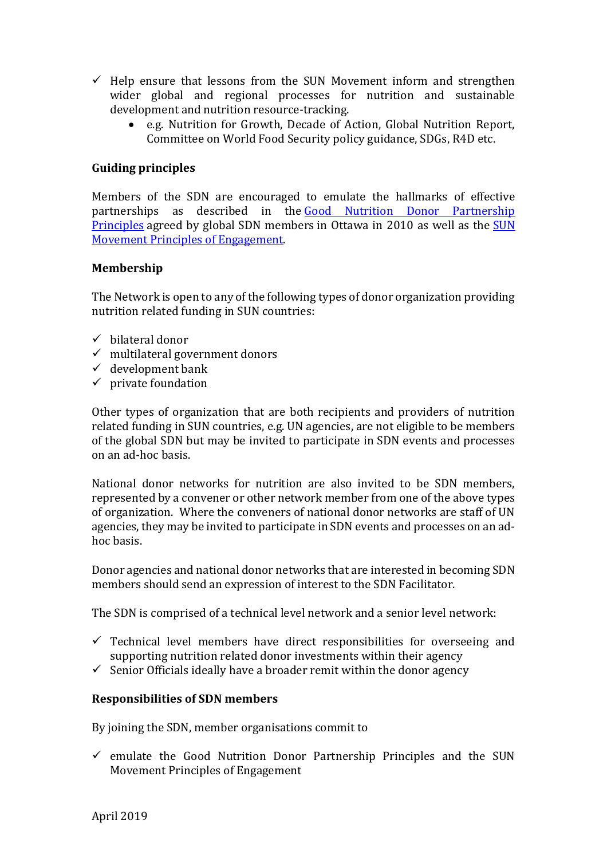- $\checkmark$  Help ensure that lessons from the SUN Movement inform and strengthen wider global and regional processes for nutrition and sustainable development and nutrition resource-tracking.
	- e.g. Nutrition for Growth, Decade of Action, Global Nutrition Report, Committee on World Food Security policy guidance, SDGs, R4D etc.

## **Guiding principles**

Members of the SDN are encouraged to emulate the hallmarks of effective partnerships as described in the [Good Nutrition Donor Partnership](https://docs.wixstatic.com/ugd/cc1040_ee321fdd62014c9180fd3c276d5508a2.pdf)  [Principles](https://docs.wixstatic.com/ugd/cc1040_ee321fdd62014c9180fd3c276d5508a2.pdf) agreed by global SDN members in Ottawa in 2010 as well as the [SUN](http://scalingupnutrition.org/about-sun/the-vision-and-principles-of-sun/)  [Movement Principles of Engagement.](http://scalingupnutrition.org/about-sun/the-vision-and-principles-of-sun/)

## **Membership**

The Network is open to any of the following types of donor organization providing nutrition related funding in SUN countries:

- $\checkmark$  bilateral donor
- $\checkmark$  multilateral government donors
- $\checkmark$  development bank
- $\checkmark$  private foundation

Other types of organization that are both recipients and providers of nutrition related funding in SUN countries, e.g. UN agencies, are not eligible to be members of the global SDN but may be invited to participate in SDN events and processes on an ad-hoc basis.

National donor networks for nutrition are also invited to be SDN members, represented by a convener or other network member from one of the above types of organization. Where the conveners of national donor networks are staff of UN agencies, they may be invited to participate in SDN events and processes on an adhoc basis.

Donor agencies and national donor networks that are interested in becoming SDN members should send an expression of interest to the SDN Facilitator.

The SDN is comprised of a technical level network and a senior level network:

- $\checkmark$  Technical level members have direct responsibilities for overseeing and supporting nutrition related donor investments within their agency
- $\checkmark$  Senior Officials ideally have a broader remit within the donor agency

## **Responsibilities of SDN members**

By joining the SDN, member organisations commit to

 $\checkmark$  emulate the Good Nutrition Donor Partnership Principles and the SUN Movement Principles of Engagement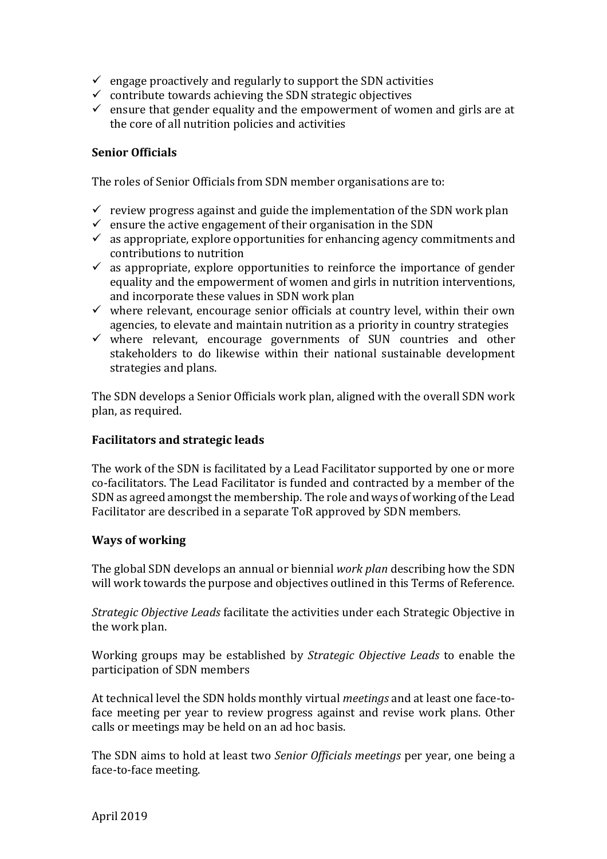- $\checkmark$  engage proactively and regularly to support the SDN activities
- $\checkmark$  contribute towards achieving the SDN strategic objectives
- $\checkmark$  ensure that gender equality and the empowerment of women and girls are at the core of all nutrition policies and activities

### **Senior Officials**

The roles of Senior Officials from SDN member organisations are to:

- $\checkmark$  review progress against and guide the implementation of the SDN work plan
- $\checkmark$  ensure the active engagement of their organisation in the SDN
- $\checkmark$  as appropriate, explore opportunities for enhancing agency commitments and contributions to nutrition
- $\checkmark$  as appropriate, explore opportunities to reinforce the importance of gender equality and the empowerment of women and girls in nutrition interventions, and incorporate these values in SDN work plan
- $\checkmark$  where relevant, encourage senior officials at country level, within their own agencies, to elevate and maintain nutrition as a priority in country strategies
- $\checkmark$  where relevant, encourage governments of SUN countries and other stakeholders to do likewise within their national sustainable development strategies and plans.

The SDN develops a Senior Officials work plan, aligned with the overall SDN work plan, as required.

## **Facilitators and strategic leads**

The work of the SDN is facilitated by a Lead Facilitator supported by one or more co-facilitators. The Lead Facilitator is funded and contracted by a member of the SDN as agreed amongst the membership. The role and ways of working of the Lead Facilitator are described in a separate ToR approved by SDN members.

#### **Ways of working**

The global SDN develops an annual or biennial *work plan* describing how the SDN will work towards the purpose and objectives outlined in this Terms of Reference.

*Strategic Objective Leads* facilitate the activities under each Strategic Objective in the work plan.

Working groups may be established by *Strategic Objective Leads* to enable the participation of SDN members

At technical level the SDN holds monthly virtual *meetings* and at least one face-toface meeting per year to review progress against and revise work plans. Other calls or meetings may be held on an ad hoc basis.

The SDN aims to hold at least two *Senior Officials meetings* per year, one being a face-to-face meeting.